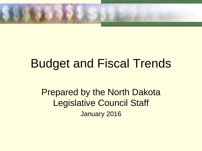

# Budget and Fiscal Trends

Prepared by the North Dakota Legislative Council Staff January 2016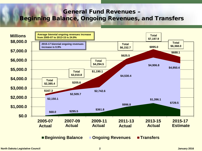## General Fund Revenues – Beginning Balance, Ongoing Revenues, and Transfers

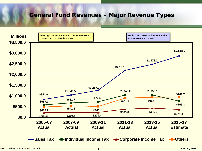#### General Fund Revenues – Major Revenue Types

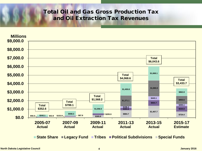### Total Oil and Gas Gross Production Tax and Oil Extraction Tax Revenues

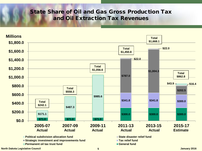### State Share of Oil and Gas Gross Production Tax and Oil Extraction Tax Revenues

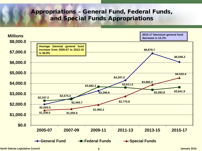# Appropriations – General Fund, Federal Funds, and Special Funds Appropriations



**North Dakota Legislative Council 6 January 2016**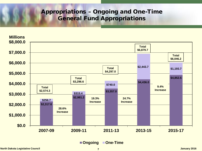# Appropriations – Ongoing and One-Time General Fund Appropriations



**Ongoing One-Time**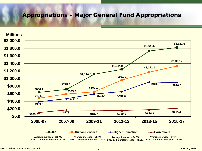#### Appropriations – Major General Fund Appropriations

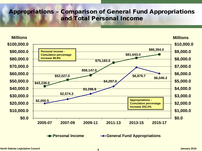# Appropriations – Comparison of General Fund Appropriations and Total Personal Income

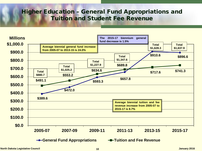# Higher Education – General Fund Appropriations and Tuition and Student Fee Revenue

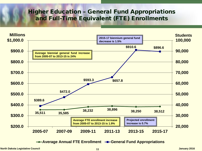# Higher Education – General Fund Appropriations and Full-Time Equivalent (FTE) Enrollments



**← Average Annual FTE Enrollment – General Fund Appropriations**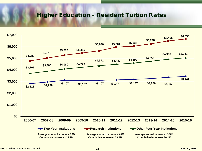#### Higher Education – Resident Tuition Rates

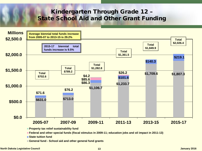## Kindergarten Through Grade 12 – State School Aid and Other Grant Funding



**General fund - School aid and other general fund grants**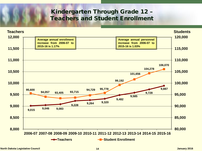# Kindergarten Through Grade 12 – Teachers and Student Enrollment

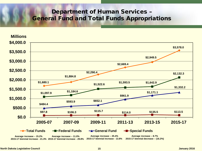## Department of Human Services – General Fund and Total Funds Appropriations

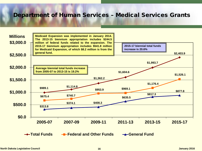#### Department of Human Services – Medical Services Grants

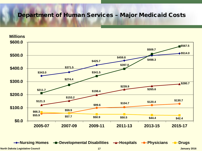#### Department of Human Services – Major Medicaid Costs

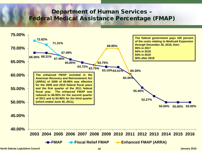## Department of Human Services – Federal Medical Assistance Percentage (FMAP)



**North Dakota Legislative Council 18 January 2016**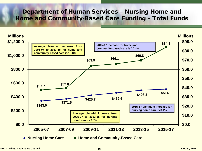### Department of Human Services – Nursing Home and Home and Community-Based Care Funding – Total Funds

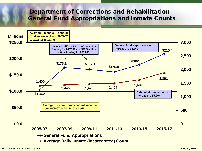## Department of Corrections and Rehabilitation – General Fund Appropriations and Inmate Counts

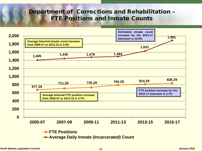## Department of Corrections and Rehabilitation – FTE Positions and Inmate Counts

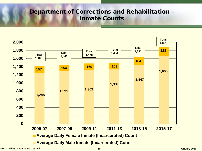# Department of Corrections and Rehabilitation – Inmate Counts



**North Dakota Legislative Council 22 January 2016**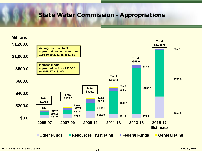### State Water Commission - Appropriations

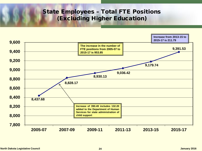# State Employees – Total FTE Positions (Excluding Higher Education)

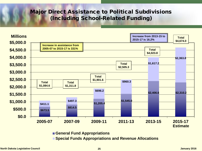#### Major Direct Assistance to Political Subdivisions (Including School-Related Funding)



**General Fund Appropriations**

**Special Funds Appropriations and Revenue Allocations**